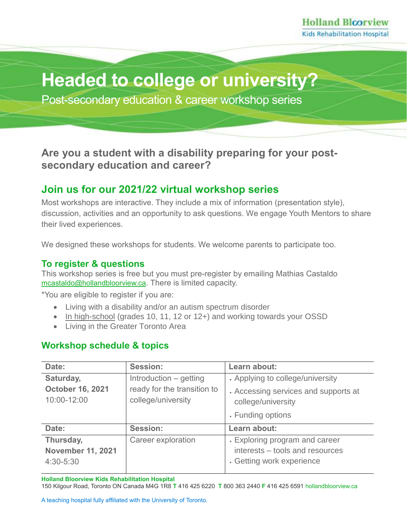# **Headed to college or university?**

Post-secondary education & career workshop series

**Are you a student with a disability preparing for your postsecondary education and career?**

### **Join us for our 2021/22 virtual workshop series**

Most workshops are interactive. They include a mix of information (presentation style), discussion, activities and an opportunity to ask questions. We engage Youth Mentors to share their lived experiences.

We designed these workshops for students. We welcome parents to participate too.

#### **To register & questions**

This workshop series is free but you must pre-register by emailing Mathias Castaldo [mcastaldo@hollandbloorview.ca](mailto:mcastaldo@hollandbloorview.ca). There is limited capacity.

\*You are eligible to register if you are:

- Living with a disability and/or an autism spectrum disorder
- In high-school (grades 10, 11, 12 or 12+) and working towards your OSSD
- Living in the Greater Toronto Area

#### **Workshop schedule & topics**

| Date:                    | <b>Session:</b>             | Learn about:                         |
|--------------------------|-----------------------------|--------------------------------------|
| Saturday,                | Introduction – getting      | . Applying to college/university     |
| <b>October 16, 2021</b>  | ready for the transition to | . Accessing services and supports at |
| 10:00-12:00              | college/university          | college/university                   |
|                          |                             | . Funding options                    |
| Date:                    | <b>Session:</b>             | Learn about:                         |
| Thursday,                | <b>Career exploration</b>   | . Exploring program and career       |
| <b>November 11, 2021</b> |                             | interests – tools and resources      |
| 4:30-5:30                |                             | . Getting work experience            |

**Holland Bloorview Kids Rehabilitation Hospital**

150 Kilgour Road, Toronto ON Canada M4G 1R8 **T** 416 425 6220 **T** 800 363 2440 **F** 416 425 659[1 hollandbloorview.ca](https://www.hollandbloorview.ca/)